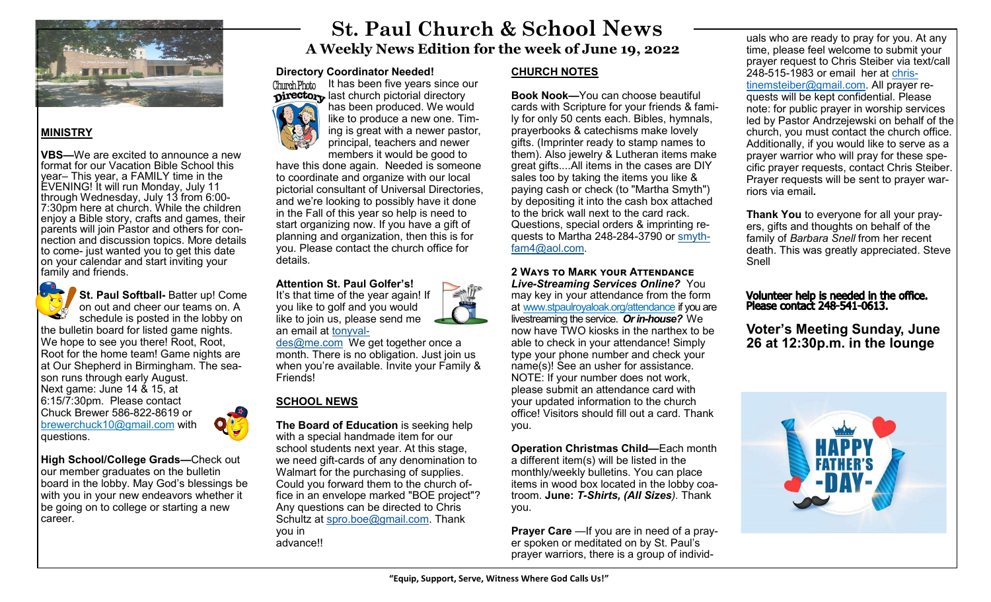

# **MINISTRY**

**VBS—**We are excited to announce a new format for our Vacation Bible School this year– This year, a FAMILY time in the EVENING! It will run Monday, July 11 through Wednesday, July 13 from 6:00- 7:30pm here at church. While the children enjoy a Bible story, crafts and games, their parents will join Pastor and others for connection and discussion topics. More details to come- just wanted you to get this date on your calendar and start inviting your family and friends.



**St. Paul Softball-** Batter up! Come on out and cheer our teams on. A schedule is posted in the lobby on the bulletin board for listed game nights. We hope to see you there! Root, Root, Root for the home team! Game nights are at Our Shepherd in Birmingham. The season runs through early August. Next game: June 14 & 15, at 6:15/7:30pm. Please contact

Chuck Brewer 586-822-8619 or brewerchuck10@gmail.com with questions.

**High School/College Grads—**Check out our member graduates on the bulletin board in the lobby. May God's blessings be with you in your new endeavors whether it be going on to college or starting a new career.

# **St. Paul Church & School News A Weekly News Edition for the week of June 19, 2022**

# **Directory Coordinator Needed!**



It has been five years since our **Directory** last church pictorial directory has been produced. We would like to produce a new one. Timing is great with a newer pastor, principal, teachers and newer members it would be good to

have this done again. Needed is someone to coordinate and organize with our local pictorial consultant of Universal Directories, and we're looking to possibly have it done in the Fall of this year so help is need to start organizing now. If you have a gift of planning and organization, then this is for you. Please contact the church office for details.

### **Attention St. Paul Golfer's!**

you like to golf and you would



an email at [tonyval](mailto:tonyvaldes@me.com)[des@me.com](mailto:tonyvaldes@me.com) We get together once a month. There is no obligation. Just join us when you're available. Invite your Family & Friends!

# **SCHOOL NEWS**

**The Board of Education** is seeking help with a special handmade item for our school students next year. At this stage, we need gift-cards of any denomination to Walmart for the purchasing of supplies. Could you forward them to the church office in an envelope marked "BOE project"? Any questions can be directed to Chris Schultz at [spro.boe@gmail.com.](mailto:spro.boe@gmail.com) Thank you in advance!!

# **CHURCH NOTES**

**Book Nook—**You can choose beautiful cards with Scripture for your friends & family for only 50 cents each. Bibles, hymnals, prayerbooks & catechisms make lovely gifts. (Imprinter ready to stamp names to them). Also jewelry & Lutheran items make great gifts....All items in the cases are DIY sales too by taking the items you like & paying cash or check (to "Martha Smyth") by depositing it into the cash box attached to the brick wall next to the card rack. Questions, special orders & imprinting requests to Martha 248-284-3790 or [smyth](mailto:smythfam4@aol.com)[fam4@aol.com.](mailto:smythfam4@aol.com)

**2 Ways to Mark your Attendance**  *Live-Streaming Services Online?* You may key in your attendance from the form at [www.stpaulroyaloak.org/attendance](http://www.stpaulroyaloak.org/attendance) if you are livestreaming the service. *Or in-house?* We now have TWO kiosks in the narthex to be able to check in your attendance! Simply type your phone number and check your name(s)! See an usher for assistance. NOTE: If your number does not work, please submit an attendance card with your updated information to the church office! Visitors should fill out a card. Thank you.

**Operation Christmas Child—**Each month a different item(s) will be listed in the monthly/weekly bulletins. You can place items in wood box located in the lobby coatroom. **June:** *T-Shirts, (All Sizes).* Thank you.

**Prayer Care** —If you are in need of a prayer spoken or meditated on by St. Paul's prayer warriors, there is a group of individuals who are ready to pray for you. At any time, please feel welcome to submit your prayer request to Chris Steiber via text/call 248-515-1983 or email her at [chris](mailto:christinemsteiber@gmail.com)[tinemsteiber@gmail.com.](mailto:christinemsteiber@gmail.com) All prayer requests will be kept confidential. Please note: for public prayer in worship services led by Pastor Andrzejewski on behalf of the church, you must contact the church office. Additionally, if you would like to serve as a prayer warrior who will pray for these specific prayer requests, contact Chris Steiber. Prayer requests will be sent to prayer warriors via email*.* 

**Thank You** to everyone for all your prayers, gifts and thoughts on behalf of the family of *Barbara Snell* from her recent death. This was greatly appreciated. Steve Snell

# Volunteer help is needed in the office. Please contact 248-541-0613.

**Voter's Meeting Sunday, June 26 at 12:30p.m. in the lounge**